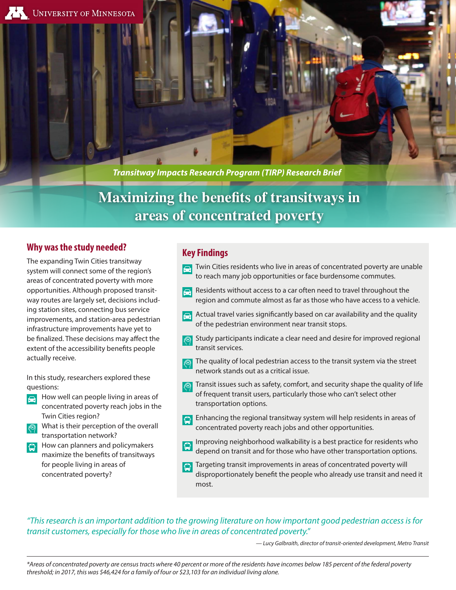*Transitway Impacts Research Program (TIRP) Research Brief*

# **Maximizing the benefits of transitways in areas of concentrated poverty**

# **Why was the study needed?**

The expanding Twin Cities transitway system will connect some of the region's areas of concentrated poverty with more opportunities. Although proposed transitway routes are largely set, decisions including station sites, connecting bus service improvements, and station-area pedestrian infrastructure improvements have yet to be finalized. These decisions may affect the extent of the accessibility benefits people actually receive.

In this study, researchers explored these questions:

- How well can people living in areas of  $\bigoplus$ concentrated poverty reach jobs in the Twin Cities region?
- What is their perception of the overall transportation network?
- How can planners and policymakers maximize the benefits of transitways for people living in areas of concentrated poverty?

# **Key Findings**

- $\blacksquare$  Twin Cities residents who live in areas of concentrated poverty are unable to reach many job opportunities or face burdensome commutes.
- Residents without access to a car often need to travel throughout the region and commute almost as far as those who have access to a vehicle.
- Actual travel varies significantly based on car availability and the quality of the pedestrian environment near transit stops.
- Study participants indicate a clear need and desire for improved regional transit services.
- The quality of local pedestrian access to the transit system via the street network stands out as a critical issue.
- Transit issues such as safety, comfort, and security shape the quality of life of frequent transit users, particularly those who can't select other transportation options.
- Enhancing the regional transitway system will help residents in areas of concentrated poverty reach jobs and other opportunities.
- Improving neighborhood walkability is a best practice for residents who ₽ depend on transit and for those who have other transportation options.
- Targeting transit improvements in areas of concentrated poverty will disproportionately benefit the people who already use transit and need it most.

## *"This research is an important addition to the growing literature on how important good pedestrian access is for transit customers, especially for those who live in areas of concentrated poverty."*

*— Lucy Galbraith, director of transit-oriented development, Metro Transit*

*\*Areas of concentrated poverty are census tracts where 40 percent or more of the residents have incomes below 185 percent of the federal poverty threshold; in 2017, this was \$46,424 for a family of four or \$23,103 for an individual living alone.*